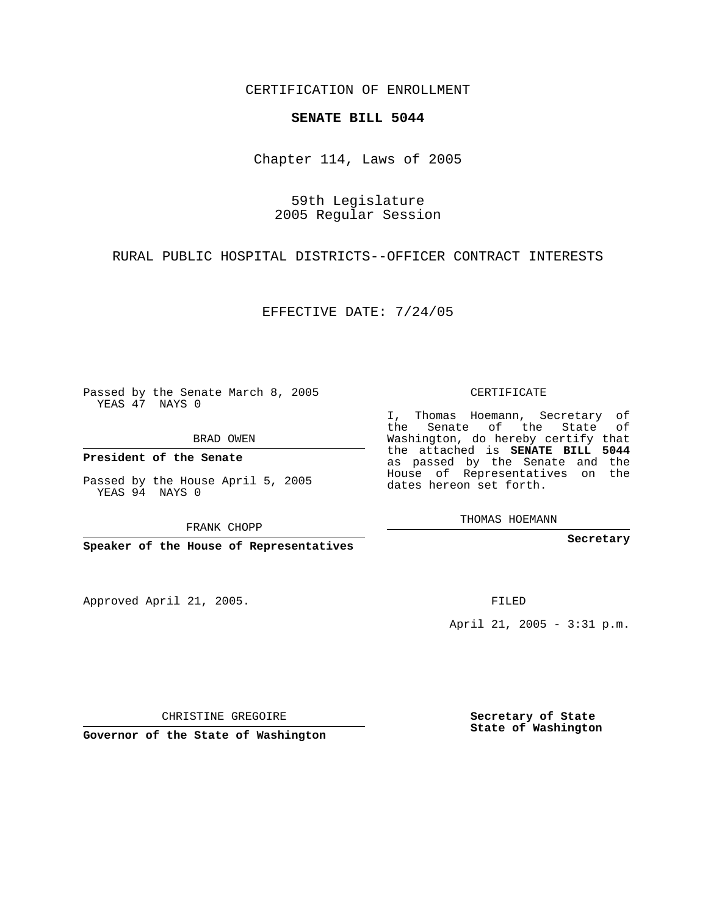CERTIFICATION OF ENROLLMENT

## **SENATE BILL 5044**

Chapter 114, Laws of 2005

59th Legislature 2005 Regular Session

RURAL PUBLIC HOSPITAL DISTRICTS--OFFICER CONTRACT INTERESTS

EFFECTIVE DATE: 7/24/05

Passed by the Senate March 8, 2005 YEAS 47 NAYS 0

BRAD OWEN

**President of the Senate**

Passed by the House April 5, 2005 YEAS 94 NAYS 0

FRANK CHOPP

**Speaker of the House of Representatives**

Approved April 21, 2005.

CERTIFICATE

I, Thomas Hoemann, Secretary of the Senate of the State of Washington, do hereby certify that the attached is **SENATE BILL 5044** as passed by the Senate and the House of Representatives on the dates hereon set forth.

THOMAS HOEMANN

**Secretary**

FILED

April 21, 2005 - 3:31 p.m.

CHRISTINE GREGOIRE

**Governor of the State of Washington**

**Secretary of State State of Washington**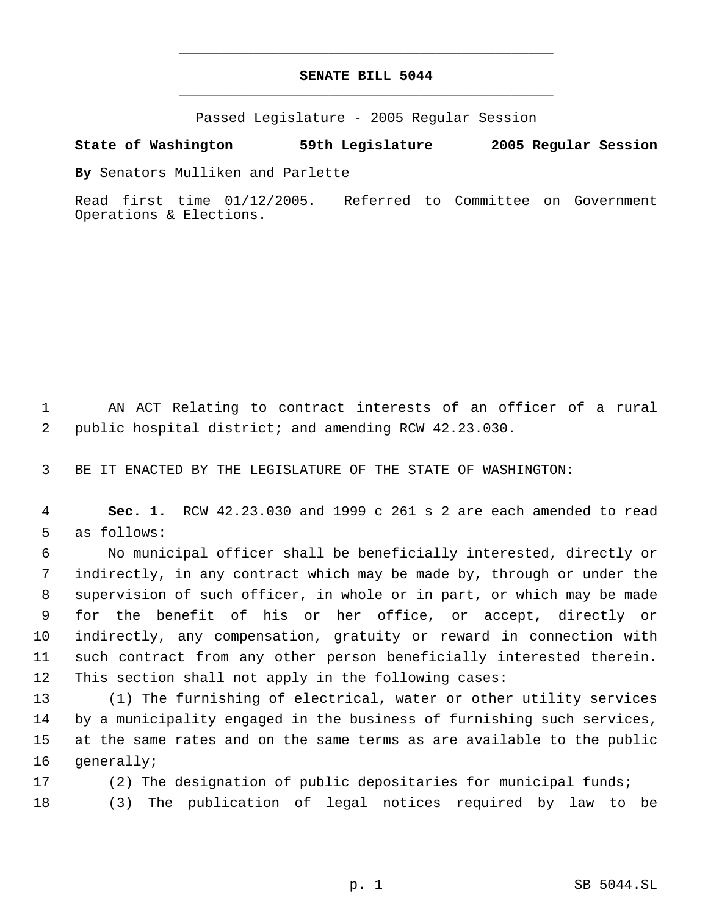## **SENATE BILL 5044** \_\_\_\_\_\_\_\_\_\_\_\_\_\_\_\_\_\_\_\_\_\_\_\_\_\_\_\_\_\_\_\_\_\_\_\_\_\_\_\_\_\_\_\_\_

\_\_\_\_\_\_\_\_\_\_\_\_\_\_\_\_\_\_\_\_\_\_\_\_\_\_\_\_\_\_\_\_\_\_\_\_\_\_\_\_\_\_\_\_\_

Passed Legislature - 2005 Regular Session

## **State of Washington 59th Legislature 2005 Regular Session**

**By** Senators Mulliken and Parlette

Read first time 01/12/2005. Referred to Committee on Government Operations & Elections.

 AN ACT Relating to contract interests of an officer of a rural public hospital district; and amending RCW 42.23.030.

BE IT ENACTED BY THE LEGISLATURE OF THE STATE OF WASHINGTON:

 **Sec. 1.** RCW 42.23.030 and 1999 c 261 s 2 are each amended to read as follows:

 No municipal officer shall be beneficially interested, directly or indirectly, in any contract which may be made by, through or under the supervision of such officer, in whole or in part, or which may be made for the benefit of his or her office, or accept, directly or indirectly, any compensation, gratuity or reward in connection with such contract from any other person beneficially interested therein. This section shall not apply in the following cases:

 (1) The furnishing of electrical, water or other utility services by a municipality engaged in the business of furnishing such services, at the same rates and on the same terms as are available to the public generally;

 (2) The designation of public depositaries for municipal funds; (3) The publication of legal notices required by law to be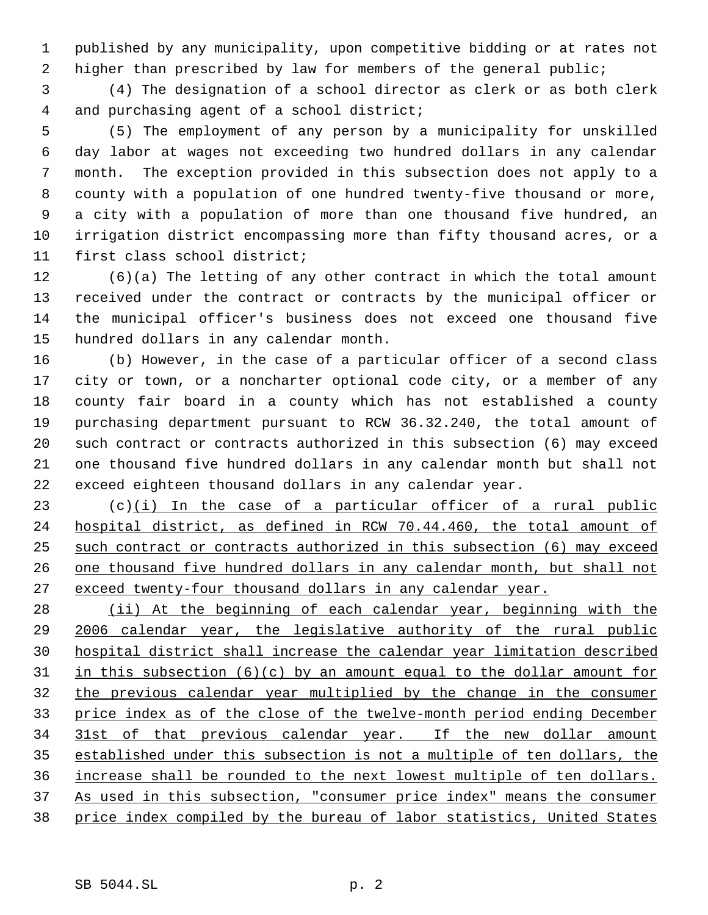published by any municipality, upon competitive bidding or at rates not 2 higher than prescribed by law for members of the general public;

 (4) The designation of a school director as clerk or as both clerk and purchasing agent of a school district;

 (5) The employment of any person by a municipality for unskilled day labor at wages not exceeding two hundred dollars in any calendar month. The exception provided in this subsection does not apply to a county with a population of one hundred twenty-five thousand or more, a city with a population of more than one thousand five hundred, an irrigation district encompassing more than fifty thousand acres, or a first class school district;

 (6)(a) The letting of any other contract in which the total amount received under the contract or contracts by the municipal officer or the municipal officer's business does not exceed one thousand five hundred dollars in any calendar month.

 (b) However, in the case of a particular officer of a second class city or town, or a noncharter optional code city, or a member of any county fair board in a county which has not established a county purchasing department pursuant to RCW 36.32.240, the total amount of such contract or contracts authorized in this subsection (6) may exceed one thousand five hundred dollars in any calendar month but shall not exceed eighteen thousand dollars in any calendar year.

 (c)(i) In the case of a particular officer of a rural public hospital district, as defined in RCW 70.44.460, the total amount of such contract or contracts authorized in this subsection (6) may exceed 26 one thousand five hundred dollars in any calendar month, but shall not exceed twenty-four thousand dollars in any calendar year.

 (ii) At the beginning of each calendar year, beginning with the 2006 calendar year, the legislative authority of the rural public hospital district shall increase the calendar year limitation described 31 in this subsection  $(6)(c)$  by an amount equal to the dollar amount for the previous calendar year multiplied by the change in the consumer price index as of the close of the twelve-month period ending December 31st of that previous calendar year. If the new dollar amount established under this subsection is not a multiple of ten dollars, the increase shall be rounded to the next lowest multiple of ten dollars. As used in this subsection, "consumer price index" means the consumer price index compiled by the bureau of labor statistics, United States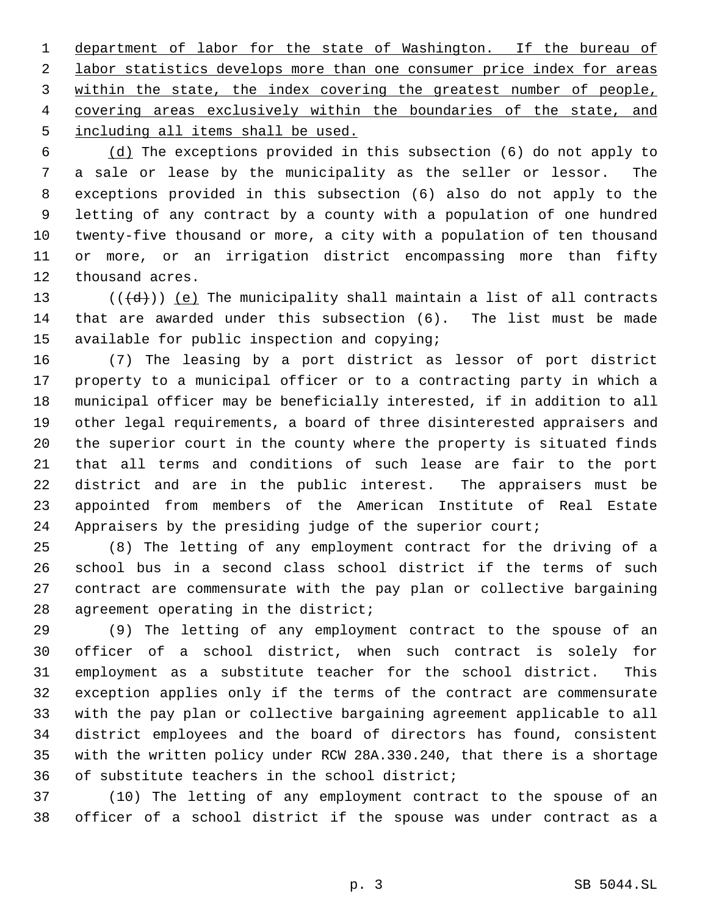1 department of labor for the state of Washington. If the bureau of 2 labor statistics develops more than one consumer price index for areas 3 within the state, the index covering the greatest number of people, 4 covering areas exclusively within the boundaries of the state, and 5 including all items shall be used.

 (d) The exceptions provided in this subsection (6) do not apply to a sale or lease by the municipality as the seller or lessor. The exceptions provided in this subsection (6) also do not apply to the letting of any contract by a county with a population of one hundred twenty-five thousand or more, a city with a population of ten thousand or more, or an irrigation district encompassing more than fifty thousand acres.

13  $((\{d\}))(\{e\})$  The municipality shall maintain a list of all contracts that are awarded under this subsection (6). The list must be made available for public inspection and copying;

 (7) The leasing by a port district as lessor of port district property to a municipal officer or to a contracting party in which a municipal officer may be beneficially interested, if in addition to all other legal requirements, a board of three disinterested appraisers and the superior court in the county where the property is situated finds that all terms and conditions of such lease are fair to the port district and are in the public interest. The appraisers must be appointed from members of the American Institute of Real Estate Appraisers by the presiding judge of the superior court;

 (8) The letting of any employment contract for the driving of a school bus in a second class school district if the terms of such contract are commensurate with the pay plan or collective bargaining agreement operating in the district;

 (9) The letting of any employment contract to the spouse of an officer of a school district, when such contract is solely for employment as a substitute teacher for the school district. This exception applies only if the terms of the contract are commensurate with the pay plan or collective bargaining agreement applicable to all district employees and the board of directors has found, consistent with the written policy under RCW 28A.330.240, that there is a shortage of substitute teachers in the school district;

 (10) The letting of any employment contract to the spouse of an officer of a school district if the spouse was under contract as a